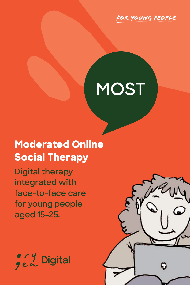

# **MOST**

## **Moderated Online Social Therapy**

**Digital therapy integrated with face-to-face care for young people aged 15–25.**



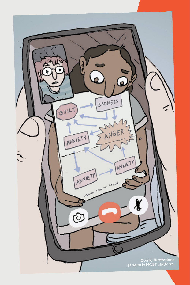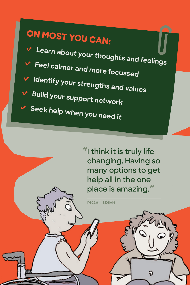## **ON MOST YOU CAN:**

**Learn about your thoughts and feelings Feel calmer and more focussed Identify your strengths and values Build your support network Seek help when you need it**

> *"***I think it is truly life changing. Having so many options to get help all in the one place is amazing.***"*

> > $\boldsymbol{\mathsf{Q}}$

**MOST USER**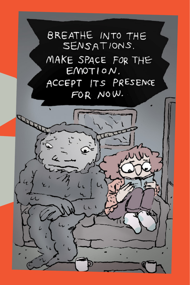

P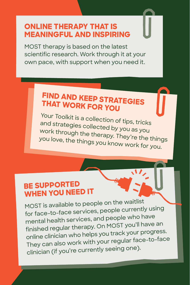#### **ONLINE THERAPY THAT IS MEANINGFUL AND INSPIRING**

MOST therapy is based on the latest scientific research. Work through it at your own pace, with support when you need it.

## **FIND AND KEEP STRATEGIES THAT WORK FOR YOU**

Your Toolkit is a collection of tips, tricks and strategies collected by you as you work through the therapy. They're the things you love, the things you know work for you.

#### **BE SUPPORTED WHEN YOU NEED IT**

MOST is available to people on the waitlist for face-to-face services, people currently using mental health services, and people who have finished regular therapy. On MOST you'll have an online clinician who helps you track your progress. They can also work with your regular face-to-face clinician (if you're currently seeing one).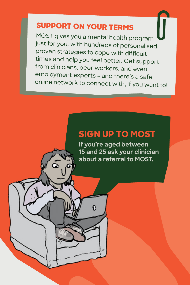## **SUPPORT ON YOUR TERMS**

MOST gives you a mental health program just for you, with hundreds of personalised, proven strategies to cope with difficult times and help you feel better. Get support from clinicians, peer workers, and even employment experts – and there's a safe online network to connect with, if you want to!

### **SIGN UP TO MOST**

**If you're aged between 15 and 25 ask your clinician about a referral to MOST.**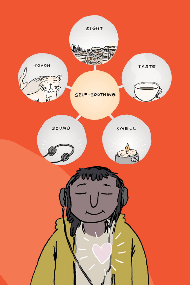